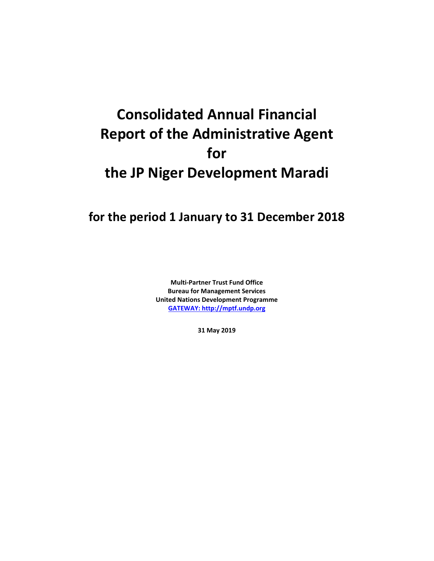## **Consolidated Annual Financial Report of the Administrative Agent for the JP Niger Development Maradi**

## **for the period 1 January to 31 December 2018**

**Multi-Partner Trust Fund Office Bureau for Management Services United Nations Development Programme [GATEWAY: http://mptf.undp.org](http://mptf.undp.org/)**

**31 May 2019**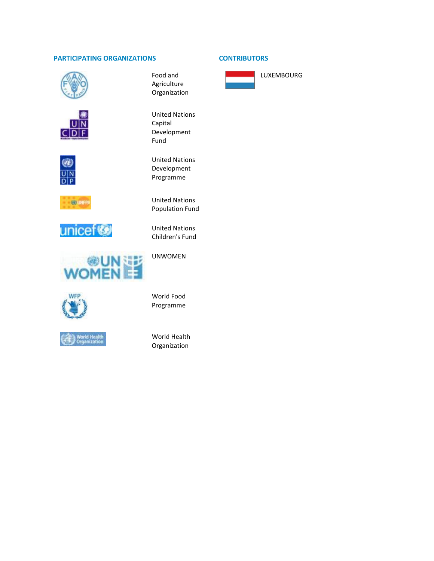## **PARTICIPATING ORGANIZATIONS CONTRIBUTORS**







**GO UNFP** 









Food and Agriculture Organization

United Nations Capital Development Fund

United Nations Development Programme

United Nations Population Fund

United Nations Children's Fund

UNWOMEN

World Food Programme

World Health Organization



LUXEMBOURG